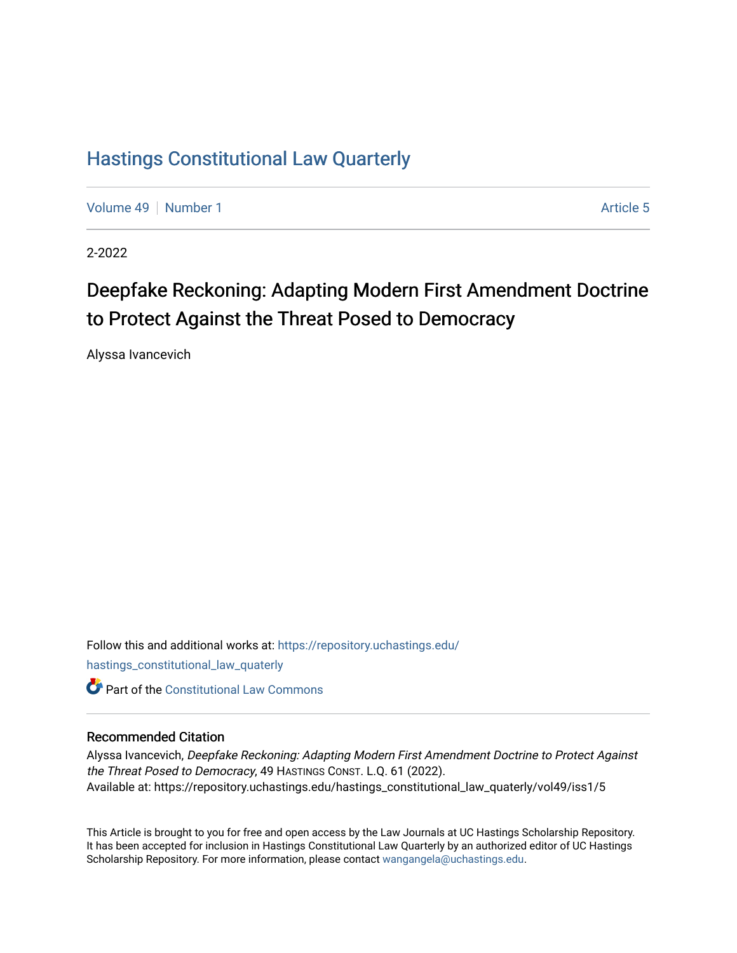## [Hastings Constitutional Law Quarterly](https://repository.uchastings.edu/hastings_constitutional_law_quaterly)

[Volume 49](https://repository.uchastings.edu/hastings_constitutional_law_quaterly/vol49) [Number 1](https://repository.uchastings.edu/hastings_constitutional_law_quaterly/vol49/iss1) Article 5

2-2022

# Deepfake Reckoning: Adapting Modern First Amendment Doctrine to Protect Against the Threat Posed to Democracy

Alyssa Ivancevich

Follow this and additional works at: [https://repository.uchastings.edu/](https://repository.uchastings.edu/hastings_constitutional_law_quaterly?utm_source=repository.uchastings.edu%2Fhastings_constitutional_law_quaterly%2Fvol49%2Fiss1%2F5&utm_medium=PDF&utm_campaign=PDFCoverPages) [hastings\\_constitutional\\_law\\_quaterly](https://repository.uchastings.edu/hastings_constitutional_law_quaterly?utm_source=repository.uchastings.edu%2Fhastings_constitutional_law_quaterly%2Fvol49%2Fiss1%2F5&utm_medium=PDF&utm_campaign=PDFCoverPages)  **C** Part of the Constitutional Law Commons

## Recommended Citation

Alyssa Ivancevich, Deepfake Reckoning: Adapting Modern First Amendment Doctrine to Protect Against the Threat Posed to Democracy, 49 HASTINGS CONST. L.Q. 61 (2022). Available at: https://repository.uchastings.edu/hastings\_constitutional\_law\_quaterly/vol49/iss1/5

This Article is brought to you for free and open access by the Law Journals at UC Hastings Scholarship Repository. It has been accepted for inclusion in Hastings Constitutional Law Quarterly by an authorized editor of UC Hastings Scholarship Repository. For more information, please contact [wangangela@uchastings.edu.](mailto:wangangela@uchastings.edu)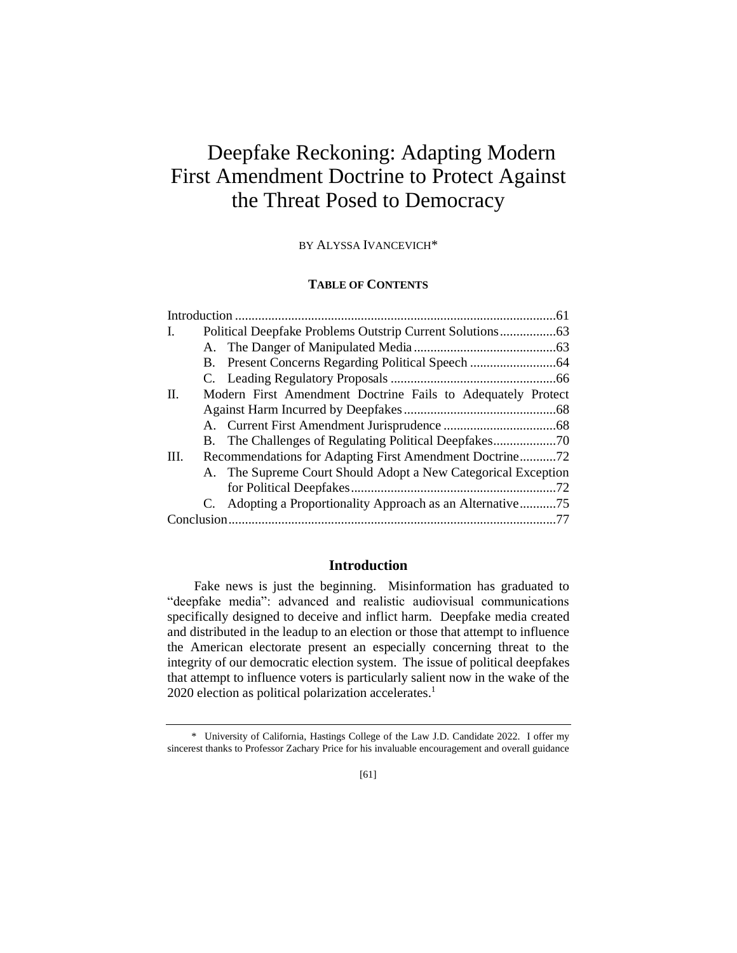# Deepfake Reckoning: Adapting Modern First Amendment Doctrine to Protect Against the Threat Posed to Democracy

BY ALYSSA IVANCEVICH\*

## **TABLE OF CONTENTS**

| I.   |                                                               |  |
|------|---------------------------------------------------------------|--|
|      |                                                               |  |
|      |                                                               |  |
|      |                                                               |  |
| II.  | Modern First Amendment Doctrine Fails to Adequately Protect   |  |
|      |                                                               |  |
|      |                                                               |  |
|      |                                                               |  |
| III. | Recommendations for Adapting First Amendment Doctrine72       |  |
|      | A. The Supreme Court Should Adopt a New Categorical Exception |  |
|      |                                                               |  |
|      | C. Adopting a Proportionality Approach as an Alternative75    |  |
|      |                                                               |  |

## **Introduction**

Fake news is just the beginning. Misinformation has graduated to "deepfake media": advanced and realistic audiovisual communications specifically designed to deceive and inflict harm. Deepfake media created and distributed in the leadup to an election or those that attempt to influence the American electorate present an especially concerning threat to the integrity of our democratic election system. The issue of political deepfakes that attempt to influence voters is particularly salient now in the wake of the 2020 election as political polarization accelerates.<sup>1</sup>

 <sup>\*</sup> University of California, Hastings College of the Law J.D. Candidate 2022. I offer my sincerest thanks to Professor Zachary Price for his invaluable encouragement and overall guidance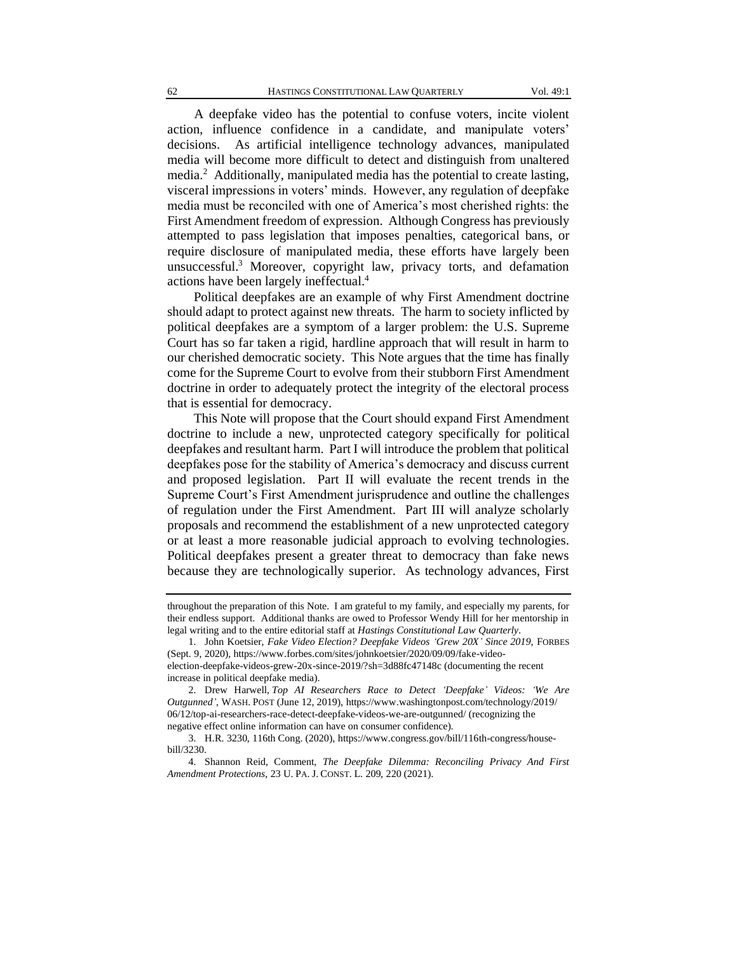A deepfake video has the potential to confuse voters, incite violent action, influence confidence in a candidate, and manipulate voters' decisions. As artificial intelligence technology advances, manipulated media will become more difficult to detect and distinguish from unaltered media.<sup>2</sup> Additionally, manipulated media has the potential to create lasting, visceral impressions in voters' minds. However, any regulation of deepfake media must be reconciled with one of America's most cherished rights: the First Amendment freedom of expression. Although Congress has previously attempted to pass legislation that imposes penalties, categorical bans, or require disclosure of manipulated media, these efforts have largely been unsuccessful.<sup>3</sup> Moreover, copyright law, privacy torts, and defamation actions have been largely ineffectual.<sup>4</sup>

Political deepfakes are an example of why First Amendment doctrine should adapt to protect against new threats. The harm to society inflicted by political deepfakes are a symptom of a larger problem: the U.S. Supreme Court has so far taken a rigid, hardline approach that will result in harm to our cherished democratic society. This Note argues that the time has finally come for the Supreme Court to evolve from their stubborn First Amendment doctrine in order to adequately protect the integrity of the electoral process that is essential for democracy.

This Note will propose that the Court should expand First Amendment doctrine to include a new, unprotected category specifically for political deepfakes and resultant harm. Part I will introduce the problem that political deepfakes pose for the stability of America's democracy and discuss current and proposed legislation. Part II will evaluate the recent trends in the Supreme Court's First Amendment jurisprudence and outline the challenges of regulation under the First Amendment. Part III will analyze scholarly proposals and recommend the establishment of a new unprotected category or at least a more reasonable judicial approach to evolving technologies. Political deepfakes present a greater threat to democracy than fake news because they are technologically superior. As technology advances, First

throughout the preparation of this Note. I am grateful to my family, and especially my parents, for their endless support. Additional thanks are owed to Professor Wendy Hill for her mentorship in legal writing and to the entire editorial staff at *Hastings Constitutional Law Quarterly*.

<sup>1.</sup> John Koetsier, *Fake Video Election? Deepfake Videos 'Grew 20X' Since 2019*, FORBES (Sept. 9, 2020), https://www.forbes.com/sites/johnkoetsier/2020/09/09/fake-videoelection-deepfake-videos-grew-20x-since-2019/?sh=3d88fc47148c (documenting the recent increase in political deepfake media).

<sup>2.</sup> Drew Harwell, *Top AI Researchers Race to Detect 'Deepfake' Videos: 'We Are Outgunned'*, WASH. POST (June 12, 2019), https://www.washingtonpost.com/technology/2019/ 06/12/top-ai-researchers-race-detect-deepfake-videos-we-are-outgunned/ (recognizing the negative effect online information can have on consumer confidence).

<sup>3.</sup> H.R. 3230, 116th Cong. (2020), https://www.congress.gov/bill/116th-congress/housebill/3230.

<sup>4.</sup> Shannon Reid, Comment, *The Deepfake Dilemma: Reconciling Privacy And First Amendment Protections*, 23 U. PA. J. CONST. L. 209, 220 (2021).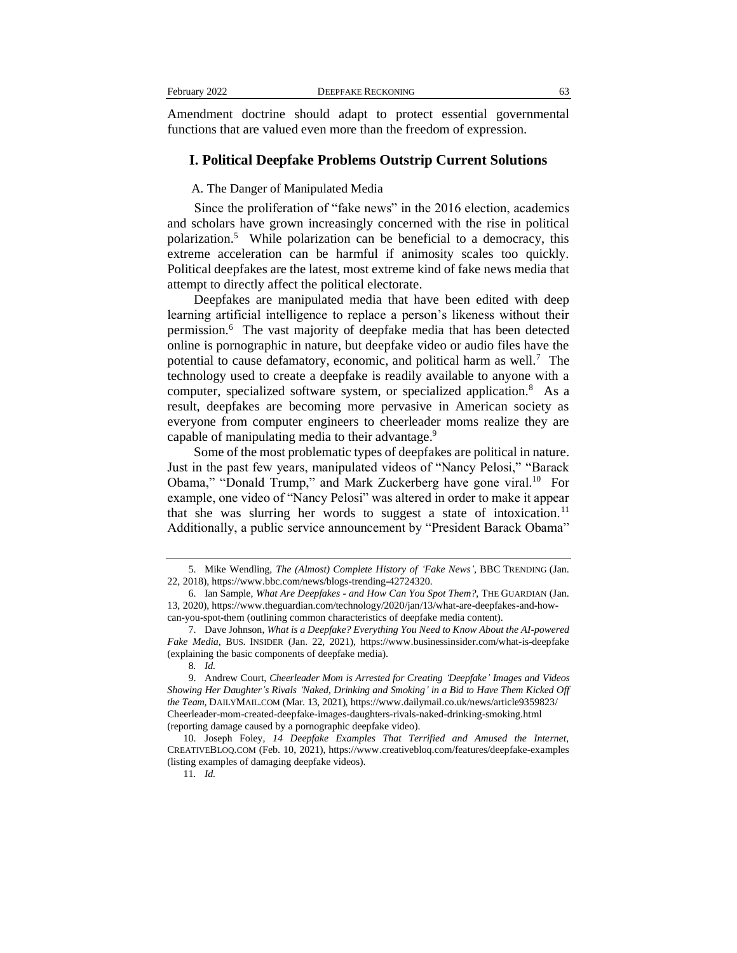| February 2022 |  |
|---------------|--|
|---------------|--|

Amendment doctrine should adapt to protect essential governmental functions that are valued even more than the freedom of expression.

## **I. Political Deepfake Problems Outstrip Current Solutions**

A. The Danger of Manipulated Media

Since the proliferation of "fake news" in the 2016 election, academics and scholars have grown increasingly concerned with the rise in political polarization.<sup>5</sup> While polarization can be beneficial to a democracy, this extreme acceleration can be harmful if animosity scales too quickly. Political deepfakes are the latest, most extreme kind of fake news media that attempt to directly affect the political electorate.

Deepfakes are manipulated media that have been edited with deep learning artificial intelligence to replace a person's likeness without their permission.<sup>6</sup> The vast majority of deepfake media that has been detected online is pornographic in nature, but deepfake video or audio files have the potential to cause defamatory, economic, and political harm as well.<sup>7</sup> The technology used to create a deepfake is readily available to anyone with a computer, specialized software system, or specialized application.<sup>8</sup> As a result, deepfakes are becoming more pervasive in American society as everyone from computer engineers to cheerleader moms realize they are capable of manipulating media to their advantage.<sup>9</sup>

Some of the most problematic types of deepfakes are political in nature. Just in the past few years, manipulated videos of "Nancy Pelosi," "Barack Obama," "Donald Trump," and Mark Zuckerberg have gone viral.<sup>10</sup> For example, one video of "Nancy Pelosi" was altered in order to make it appear that she was slurring her words to suggest a state of intoxication.<sup>11</sup> Additionally, a public service announcement by "President Barack Obama"

<sup>5.</sup> Mike Wendling, *The (Almost) Complete History of 'Fake News'*, BBC TRENDING (Jan. 22, 2018), https://www.bbc.com/news/blogs-trending-42724320.

<sup>6.</sup> Ian Sample, *What Are Deepfakes - and How Can You Spot Them?*, THE GUARDIAN (Jan. 13, 2020), https://www.theguardian.com/technology/2020/jan/13/what-are-deepfakes-and-howcan-you-spot-them (outlining common characteristics of deepfake media content).

<sup>7.</sup> Dave Johnson, *What is a Deepfake? Everything You Need to Know About the AI-powered Fake Media*, BUS. INSIDER (Jan. 22, 2021), https://www.businessinsider.com/what-is-deepfake (explaining the basic components of deepfake media).

<sup>8</sup>*. Id.*

<sup>9.</sup> Andrew Court, *Cheerleader Mom is Arrested for Creating 'Deepfake' Images and Videos Showing Her Daughter's Rivals 'Naked, Drinking and Smoking' in a Bid to Have Them Kicked Off the Team*, DAILYMAIL.COM (Mar. 13, 2021), https://www.dailymail.co.uk/news/article9359823/ Cheerleader-mom-created-deepfake-images-daughters-rivals-naked-drinking-smoking.html (reporting damage caused by a pornographic deepfake video).

<sup>10.</sup> Joseph Foley, *14 Deepfake Examples That Terrified and Amused the Internet*, CREATIVEBLOQ.COM (Feb. 10, 2021), https://www.creativebloq.com/features/deepfake-examples (listing examples of damaging deepfake videos).

<sup>11</sup>*. Id.*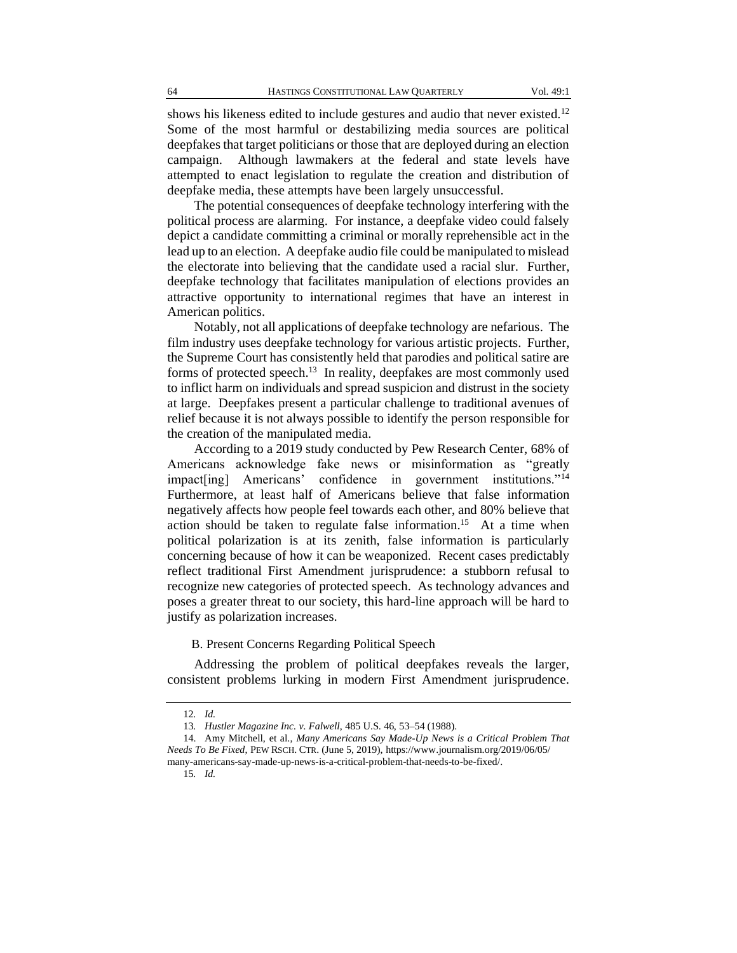shows his likeness edited to include gestures and audio that never existed.<sup>12</sup> Some of the most harmful or destabilizing media sources are political deepfakes that target politicians or those that are deployed during an election campaign. Although lawmakers at the federal and state levels have attempted to enact legislation to regulate the creation and distribution of deepfake media, these attempts have been largely unsuccessful.

The potential consequences of deepfake technology interfering with the political process are alarming. For instance, a deepfake video could falsely depict a candidate committing a criminal or morally reprehensible act in the lead up to an election. A deepfake audio file could be manipulated to mislead the electorate into believing that the candidate used a racial slur. Further, deepfake technology that facilitates manipulation of elections provides an attractive opportunity to international regimes that have an interest in American politics.

Notably, not all applications of deepfake technology are nefarious. The film industry uses deepfake technology for various artistic projects. Further, the Supreme Court has consistently held that parodies and political satire are forms of protected speech.<sup>13</sup> In reality, deepfakes are most commonly used to inflict harm on individuals and spread suspicion and distrust in the society at large. Deepfakes present a particular challenge to traditional avenues of relief because it is not always possible to identify the person responsible for the creation of the manipulated media.

According to a 2019 study conducted by Pew Research Center, 68% of Americans acknowledge fake news or misinformation as "greatly impact[ing] Americans' confidence in government institutions."<sup>14</sup> Furthermore, at least half of Americans believe that false information negatively affects how people feel towards each other, and 80% believe that action should be taken to regulate false information.<sup>15</sup> At a time when political polarization is at its zenith, false information is particularly concerning because of how it can be weaponized. Recent cases predictably reflect traditional First Amendment jurisprudence: a stubborn refusal to recognize new categories of protected speech. As technology advances and poses a greater threat to our society, this hard-line approach will be hard to justify as polarization increases.

B. Present Concerns Regarding Political Speech

Addressing the problem of political deepfakes reveals the larger, consistent problems lurking in modern First Amendment jurisprudence.

<sup>12</sup>*. Id.*

<sup>13</sup>*. Hustler Magazine Inc. v. Falwell*, 485 U.S. 46, 53–54 (1988).

<sup>14.</sup> Amy Mitchell, et al., *Many Americans Say Made-Up News is a Critical Problem That Needs To Be Fixed*, PEW RSCH. CTR. (June 5, 2019), https://www.journalism.org/2019/06/05/ many-americans-say-made-up-news-is-a-critical-problem-that-needs-to-be-fixed/.

<sup>15</sup>*. Id.*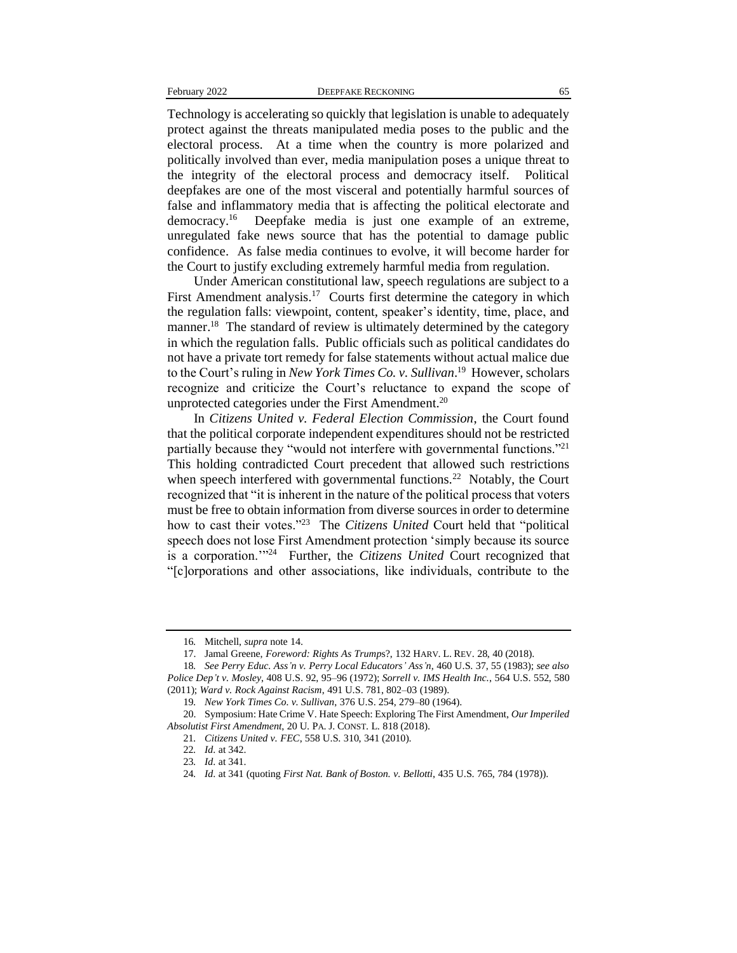Technology is accelerating so quickly that legislation is unable to adequately protect against the threats manipulated media poses to the public and the electoral process. At a time when the country is more polarized and politically involved than ever, media manipulation poses a unique threat to the integrity of the electoral process and democracy itself. Political deepfakes are one of the most visceral and potentially harmful sources of false and inflammatory media that is affecting the political electorate and democracy.<sup>16</sup> Deepfake media is just one example of an extreme, unregulated fake news source that has the potential to damage public confidence. As false media continues to evolve, it will become harder for the Court to justify excluding extremely harmful media from regulation.

Under American constitutional law, speech regulations are subject to a First Amendment analysis.<sup>17</sup> Courts first determine the category in which the regulation falls: viewpoint, content, speaker's identity, time, place, and manner.<sup>18</sup> The standard of review is ultimately determined by the category in which the regulation falls. Public officials such as political candidates do not have a private tort remedy for false statements without actual malice due to the Court's ruling in *New York Times Co. v. Sullivan*. 19 However, scholars recognize and criticize the Court's reluctance to expand the scope of unprotected categories under the First Amendment.<sup>20</sup>

In *Citizens United v. Federal Election Commission*, the Court found that the political corporate independent expenditures should not be restricted partially because they "would not interfere with governmental functions."<sup>21</sup> This holding contradicted Court precedent that allowed such restrictions when speech interfered with governmental functions.<sup>22</sup> Notably, the Court recognized that "it is inherent in the nature of the political process that voters must be free to obtain information from diverse sources in order to determine how to cast their votes."<sup>23</sup> The *Citizens United* Court held that "political speech does not lose First Amendment protection 'simply because its source is a corporation."<sup>24</sup> Further, the *Citizens United* Court recognized that "[c]orporations and other associations, like individuals, contribute to the

<sup>16</sup>*.* Mitchell, *supra* note 14.

<sup>17.</sup> Jamal Greene, *Foreword: Rights As Trump*s?, 132 HARV. L. REV. 28, 40 (2018).

<sup>18</sup>*. See Perry Educ. Ass'n v. Perry Local Educators' Ass'n*, 460 U.S. 37, 55 (1983); *see also Police Dep't v. Mosley*, 408 U.S. 92, 95–96 (1972); *Sorrell v. IMS Health Inc.*, 564 U.S. 552, 580 (2011); *Ward v. Rock Against Racism*, 491 U.S. 781, 802–03 (1989).

<sup>19</sup>*. New York Times Co. v. Sullivan*, 376 U.S. 254, 279–80 (1964).

<sup>20.</sup> Symposium: Hate Crime V. Hate Speech: Exploring The First Amendment, *Our Imperiled Absolutist First Amendment*, 20 U. PA. J. CONST. L. 818 (2018).

<sup>21</sup>*. Citizens United v. FEC*, 558 U.S. 310, 341 (2010).

<sup>22</sup>*. Id*. at 342.

<sup>23</sup>*. Id*. at 341.

<sup>24</sup>*. Id*. at 341 (quoting *First Nat. Bank of Boston. v. Bellotti*, 435 U.S. 765, 784 (1978)).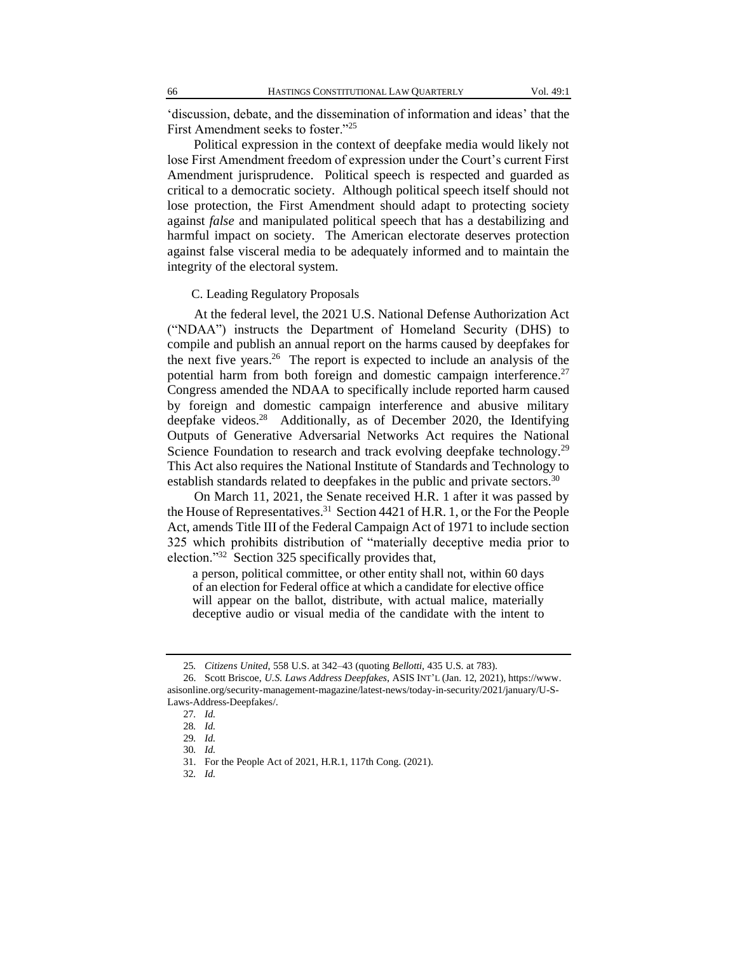'discussion, debate, and the dissemination of information and ideas' that the First Amendment seeks to foster."<sup>25</sup>

Political expression in the context of deepfake media would likely not lose First Amendment freedom of expression under the Court's current First Amendment jurisprudence. Political speech is respected and guarded as critical to a democratic society. Although political speech itself should not lose protection, the First Amendment should adapt to protecting society against *false* and manipulated political speech that has a destabilizing and harmful impact on society. The American electorate deserves protection against false visceral media to be adequately informed and to maintain the integrity of the electoral system.

C. Leading Regulatory Proposals

At the federal level, the 2021 U.S. National Defense Authorization Act ("NDAA") instructs the Department of Homeland Security (DHS) to compile and publish an annual report on the harms caused by deepfakes for the next five years.<sup>26</sup> The report is expected to include an analysis of the potential harm from both foreign and domestic campaign interference.<sup>27</sup> Congress amended the NDAA to specifically include reported harm caused by foreign and domestic campaign interference and abusive military deepfake videos.<sup>28</sup> Additionally, as of December 2020, the Identifying Outputs of Generative Adversarial Networks Act requires the National Science Foundation to research and track evolving deepfake technology.<sup>29</sup> This Act also requires the National Institute of Standards and Technology to establish standards related to deepfakes in the public and private sectors.<sup>30</sup>

On March 11, 2021, the Senate received H.R. 1 after it was passed by the House of Representatives.<sup>31</sup> Section 4421 of H.R. 1, or the For the People Act, amends Title III of the Federal Campaign Act of 1971 to include section 325 which prohibits distribution of "materially deceptive media prior to election."<sup>32</sup> Section 325 specifically provides that,

a person, political committee, or other entity shall not, within 60 days of an election for Federal office at which a candidate for elective office will appear on the ballot, distribute, with actual malice, materially deceptive audio or visual media of the candidate with the intent to

32*. Id.*

<sup>25</sup>*. Citizens United*, 558 U.S. at 342–43 (quoting *Bellotti,* 435 U.S. at 783).

<sup>26.</sup> Scott Briscoe, *U.S. Laws Address Deepfakes*, ASIS INT'L (Jan. 12, 2021), https://www. asisonline.org/security-management-magazine/latest-news/today-in-security/2021/january/U-S-Laws-Address-Deepfakes/.

<sup>27</sup>*. Id.*

<sup>28</sup>*. Id.*

<sup>29</sup>*. Id.*

<sup>30</sup>*. Id.*

<sup>31.</sup> For the People Act of 2021, H.R.1, 117th Cong. (2021).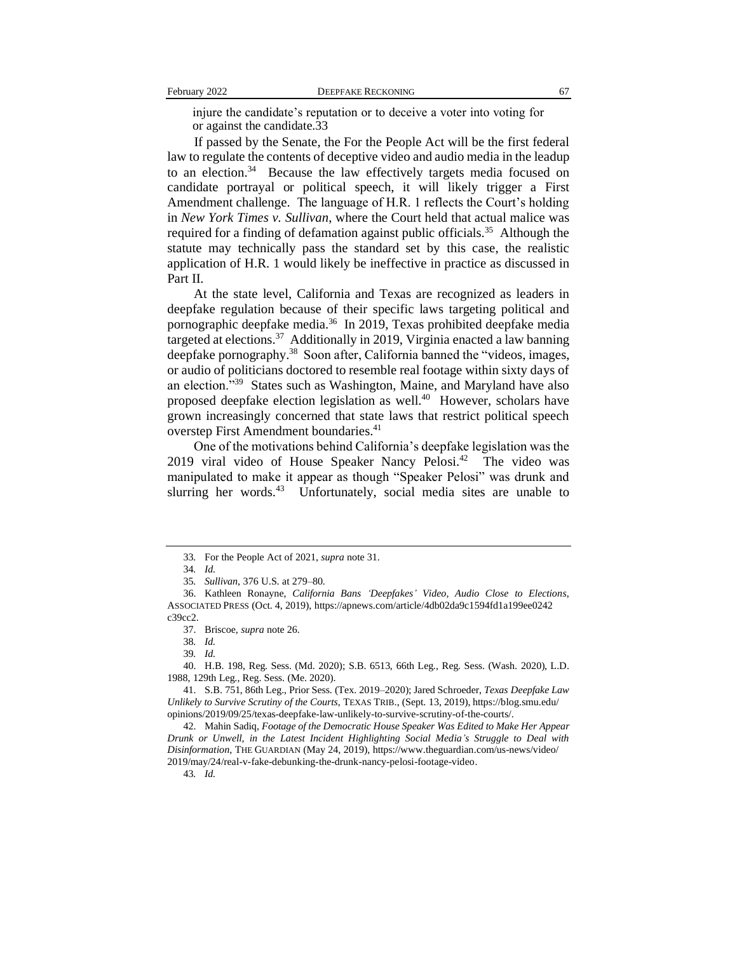injure the candidate's reputation or to deceive a voter into voting for or against the candidate.33

If passed by the Senate, the For the People Act will be the first federal law to regulate the contents of deceptive video and audio media in the leadup to an election.<sup>34</sup> Because the law effectively targets media focused on candidate portrayal or political speech, it will likely trigger a First Amendment challenge. The language of H.R. 1 reflects the Court's holding in *New York Times v. Sullivan*, where the Court held that actual malice was required for a finding of defamation against public officials.<sup>35</sup> Although the statute may technically pass the standard set by this case, the realistic application of H.R. 1 would likely be ineffective in practice as discussed in Part II.

At the state level, California and Texas are recognized as leaders in deepfake regulation because of their specific laws targeting political and pornographic deepfake media.<sup>36</sup> In 2019, Texas prohibited deepfake media targeted at elections.<sup>37</sup> Additionally in 2019, Virginia enacted a law banning deepfake pornography.<sup>38</sup> Soon after, California banned the "videos, images, or audio of politicians doctored to resemble real footage within sixty days of an election."<sup>39</sup> States such as Washington, Maine, and Maryland have also proposed deepfake election legislation as well.<sup>40</sup> However, scholars have grown increasingly concerned that state laws that restrict political speech overstep First Amendment boundaries.<sup>41</sup>

One of the motivations behind California's deepfake legislation was the 2019 viral video of House Speaker Nancy Pelosi.<sup>42</sup> The video was manipulated to make it appear as though "Speaker Pelosi" was drunk and slurring her words.<sup>43</sup> Unfortunately, social media sites are unable to

40. H.B. 198, Reg. Sess. (Md. 2020); S.B. 6513, 66th Leg., Reg. Sess. (Wash. 2020), L.D. 1988, 129th Leg., Reg. Sess. (Me. 2020).

43*. Id.*

<sup>33</sup>*.* For the People Act of 2021, *supra* note 31.

<sup>34</sup>*. Id.*

<sup>35</sup>*. Sullivan*, 376 U.S. at 279–80.

<sup>36.</sup> Kathleen Ronayne, *California Bans 'Deepfakes' Video, Audio Close to Elections*, ASSOCIATED PRESS (Oct. 4, 2019), https://apnews.com/article/4db02da9c1594fd1a199ee0242 c39cc2.

<sup>37.</sup> Briscoe, *supra* note 26.

<sup>38</sup>*. Id.*

<sup>39</sup>*. Id.*

<sup>41.</sup> S.B. 751, 86th Leg., Prior Sess. (Tex. 2019–2020); Jared Schroeder, *Texas Deepfake Law Unlikely to Survive Scrutiny of the Courts*, TEXAS TRIB., (Sept. 13, 2019), https://blog.smu.edu/ opinions/2019/09/25/texas-deepfake-law-unlikely-to-survive-scrutiny-of-the-courts/.

<sup>42.</sup> Mahin Sadiq, *Footage of the Democratic House Speaker Was Edited to Make Her Appear Drunk or Unwell, in the Latest Incident Highlighting Social Media's Struggle to Deal with Disinformation*, THE GUARDIAN (May 24, 2019), https://www.theguardian.com/us-news/video/ 2019/may/24/real-v-fake-debunking-the-drunk-nancy-pelosi-footage-video.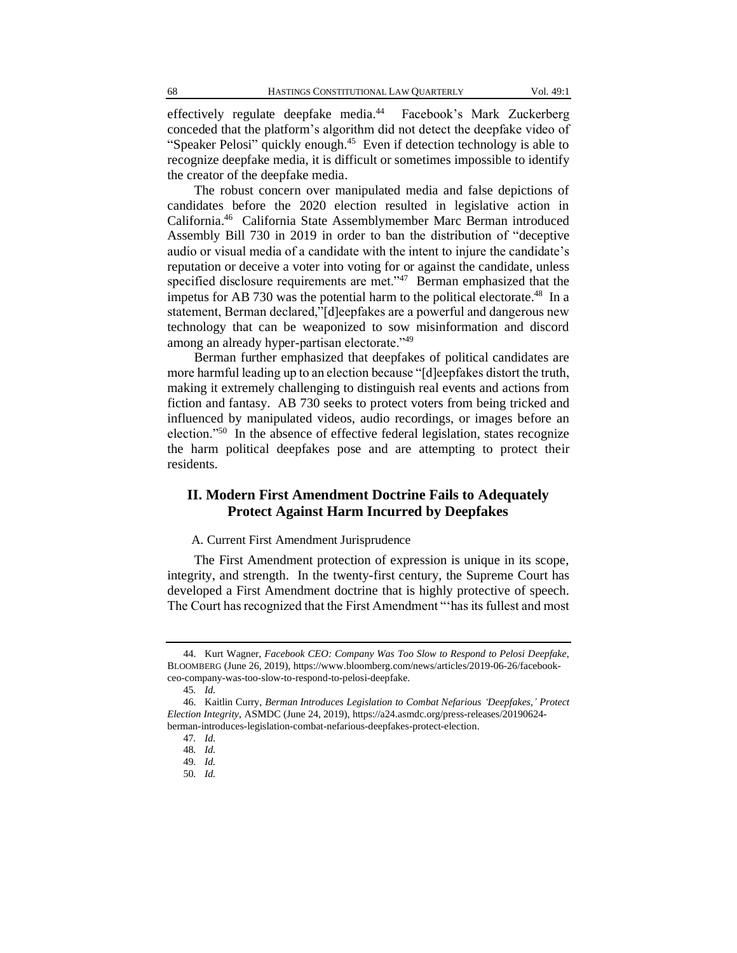effectively regulate deepfake media.<sup>44</sup> Facebook's Mark Zuckerberg conceded that the platform's algorithm did not detect the deepfake video of "Speaker Pelosi" quickly enough.<sup>45</sup> Even if detection technology is able to recognize deepfake media, it is difficult or sometimes impossible to identify the creator of the deepfake media.

The robust concern over manipulated media and false depictions of candidates before the 2020 election resulted in legislative action in California. <sup>46</sup> California State Assemblymember Marc Berman introduced Assembly Bill 730 in 2019 in order to ban the distribution of "deceptive audio or visual media of a candidate with the intent to injure the candidate's reputation or deceive a voter into voting for or against the candidate, unless specified disclosure requirements are met."<sup>47</sup> Berman emphasized that the impetus for AB 730 was the potential harm to the political electorate.<sup>48</sup> In a statement, Berman declared,"[d]eepfakes are a powerful and dangerous new technology that can be weaponized to sow misinformation and discord among an already hyper-partisan electorate."<sup>49</sup>

Berman further emphasized that deepfakes of political candidates are more harmful leading up to an election because "[d]eepfakes distort the truth, making it extremely challenging to distinguish real events and actions from fiction and fantasy. AB 730 seeks to protect voters from being tricked and influenced by manipulated videos, audio recordings, or images before an election."<sup>50</sup> In the absence of effective federal legislation, states recognize the harm political deepfakes pose and are attempting to protect their residents.

## **II. Modern First Amendment Doctrine Fails to Adequately Protect Against Harm Incurred by Deepfakes**

#### A. Current First Amendment Jurisprudence

The First Amendment protection of expression is unique in its scope, integrity, and strength. In the twenty-first century, the Supreme Court has developed a First Amendment doctrine that is highly protective of speech. The Court has recognized that the First Amendment "'has its fullest and most

<sup>44.</sup> Kurt Wagner, *Facebook CEO: Company Was Too Slow to Respond to Pelosi Deepfake*, BLOOMBERG (June 26, 2019), https://www.bloomberg.com/news/articles/2019-06-26/facebookceo-company-was-too-slow-to-respond-to-pelosi-deepfake.

<sup>45</sup>*. Id.*

<sup>46.</sup> Kaitlin Curry, *Berman Introduces Legislation to Combat Nefarious 'Deepfakes,' Protect Election Integrity*, ASMDC (June 24, 2019), https://a24.asmdc.org/press-releases/20190624 berman-introduces-legislation-combat-nefarious-deepfakes-protect-election.

<sup>47</sup>*. Id.*

<sup>48</sup>*. Id.*

<sup>49</sup>*. Id.*

<sup>50</sup>*. Id.*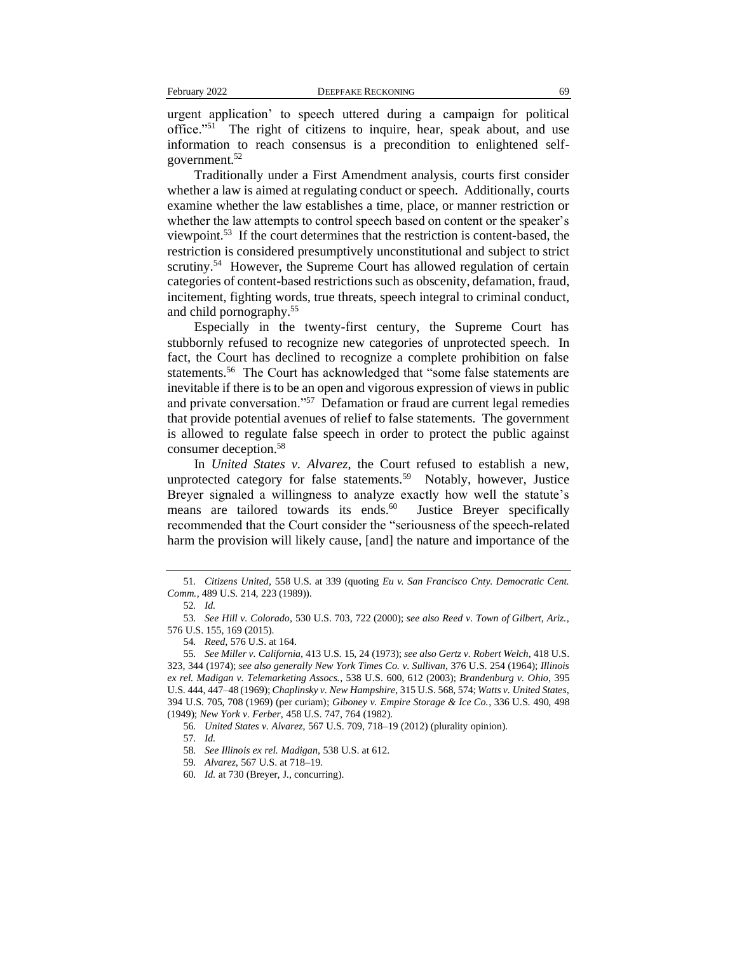urgent application' to speech uttered during a campaign for political office."<sup>51</sup> The right of citizens to inquire, hear, speak about, and use information to reach consensus is a precondition to enlightened selfgovernment.<sup>52</sup>

Traditionally under a First Amendment analysis, courts first consider whether a law is aimed at regulating conduct or speech. Additionally, courts examine whether the law establishes a time, place, or manner restriction or whether the law attempts to control speech based on content or the speaker's viewpoint.<sup>53</sup> If the court determines that the restriction is content-based, the restriction is considered presumptively unconstitutional and subject to strict scrutiny.<sup>54</sup> However, the Supreme Court has allowed regulation of certain categories of content-based restrictions such as obscenity, defamation, fraud, incitement, fighting words, true threats, speech integral to criminal conduct, and child pornography.<sup>55</sup>

Especially in the twenty-first century, the Supreme Court has stubbornly refused to recognize new categories of unprotected speech. In fact, the Court has declined to recognize a complete prohibition on false statements.<sup>56</sup> The Court has acknowledged that "some false statements are inevitable if there is to be an open and vigorous expression of views in public and private conversation."<sup>57</sup> Defamation or fraud are current legal remedies that provide potential avenues of relief to false statements. The government is allowed to regulate false speech in order to protect the public against consumer deception.<sup>58</sup>

In *United States v. Alvarez*, the Court refused to establish a new, unprotected category for false statements.<sup>59</sup> Notably, however, Justice Breyer signaled a willingness to analyze exactly how well the statute's means are tailored towards its ends.<sup>60</sup> Justice Breyer specifically recommended that the Court consider the "seriousness of the speech-related harm the provision will likely cause, [and] the nature and importance of the

<sup>51</sup>*. Citizens United*, 558 U.S. at 339 (quoting *Eu v. San Francisco Cnty. Democratic Cent. Comm.*, 489 U.S. 214, 223 (1989)).

<sup>52</sup>*. Id.*

<sup>53</sup>*. See Hill v. Colorado*, 530 U.S. 703, 722 (2000); *see also Reed v. Town of Gilbert, Ariz.*, 576 U.S. 155, 169 (2015).

<sup>54</sup>*. Reed*, 576 U.S. at 164.

<sup>55</sup>*. See Miller v. California*, 413 U.S. 15, 24 (1973); *see also Gertz v. Robert Welch*, 418 U.S. 323, 344 (1974); *see also generally New York Times Co. v. Sullivan*, 376 U.S. 254 (1964); *Illinois ex rel. Madigan v. Telemarketing Assocs.*, 538 U.S. 600, 612 (2003); *Brandenburg v. Ohio*, 395 U.S. 444, 447–48 (1969); *Chaplinsky v. New Hampshire*, 315 U.S. 568, 574; *Watts v. United States*, 394 U.S. 705, 708 (1969) (per curiam); *Giboney v. Empire Storage & Ice Co.*, 336 U.S. 490, 498 (1949); *New York v. Ferber*, 458 U.S. 747, 764 (1982).

<sup>56</sup>*. United States v. Alvarez*, 567 U.S. 709, 718–19 (2012) (plurality opinion).

<sup>57</sup>*. Id.*

<sup>58</sup>*. See Illinois ex rel. Madigan*, 538 U.S. at 612.

<sup>59</sup>*. Alvarez*, 567 U.S. at 718–19.

<sup>60</sup>*. Id.* at 730 (Breyer, J., concurring).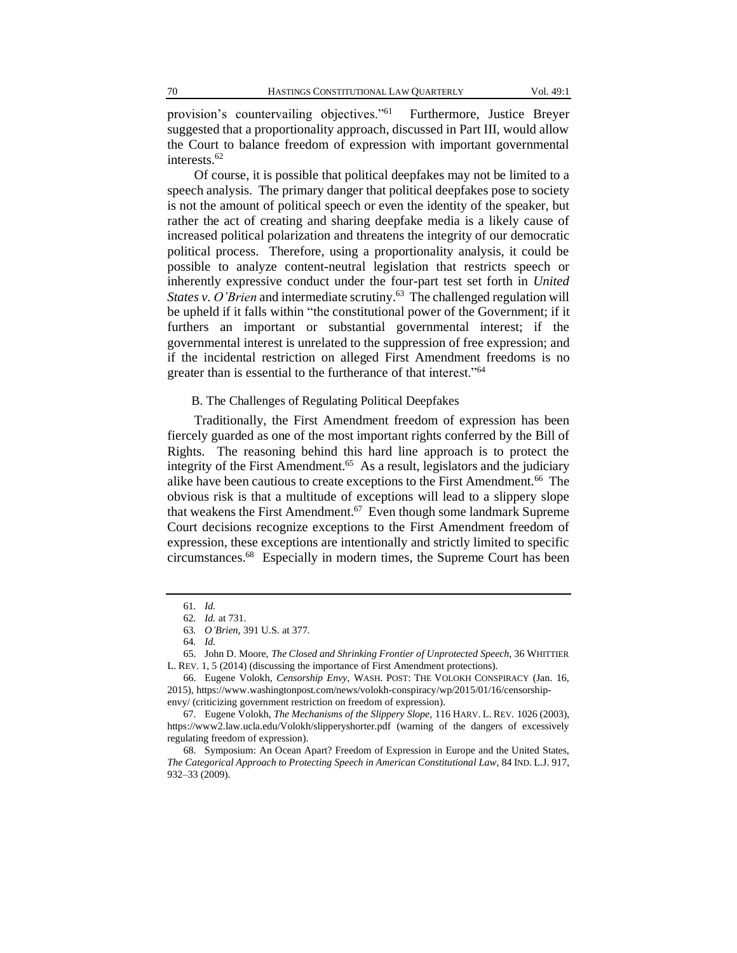provision's countervailing objectives."<sup>61</sup> Furthermore, Justice Breyer suggested that a proportionality approach, discussed in Part III, would allow the Court to balance freedom of expression with important governmental interests.<sup>62</sup>

Of course, it is possible that political deepfakes may not be limited to a speech analysis. The primary danger that political deepfakes pose to society is not the amount of political speech or even the identity of the speaker, but rather the act of creating and sharing deepfake media is a likely cause of increased political polarization and threatens the integrity of our democratic political process. Therefore, using a proportionality analysis, it could be possible to analyze content-neutral legislation that restricts speech or inherently expressive conduct under the four-part test set forth in *United*  States v. O'Brien and intermediate scrutiny.<sup>63</sup> The challenged regulation will be upheld if it falls within "the constitutional power of the Government; if it furthers an important or substantial governmental interest; if the governmental interest is unrelated to the suppression of free expression; and if the incidental restriction on alleged First Amendment freedoms is no greater than is essential to the furtherance of that interest."<sup>64</sup>

## B. The Challenges of Regulating Political Deepfakes

Traditionally, the First Amendment freedom of expression has been fiercely guarded as one of the most important rights conferred by the Bill of Rights. The reasoning behind this hard line approach is to protect the integrity of the First Amendment.<sup>65</sup> As a result, legislators and the judiciary alike have been cautious to create exceptions to the First Amendment.<sup>66</sup> The obvious risk is that a multitude of exceptions will lead to a slippery slope that weakens the First Amendment.<sup>67</sup> Even though some landmark Supreme Court decisions recognize exceptions to the First Amendment freedom of expression, these exceptions are intentionally and strictly limited to specific circumstances.<sup>68</sup> Especially in modern times, the Supreme Court has been

<sup>61</sup>*. Id.*

<sup>62</sup>*. Id.* at 731.

<sup>63</sup>*. O'Brien*, 391 U.S. at 377.

<sup>64</sup>*. Id.*

<sup>65.</sup> John D. Moore, *The Closed and Shrinking Frontier of Unprotected Speech*, 36 WHITTIER L. REV. 1, 5 (2014) (discussing the importance of First Amendment protections).

<sup>66.</sup> Eugene Volokh, *Censorship Envy*, WASH. POST: THE VOLOKH CONSPIRACY (Jan. 16, 2015), https://www.washingtonpost.com/news/volokh-conspiracy/wp/2015/01/16/censorshipenvy/ (criticizing government restriction on freedom of expression).

<sup>67.</sup> Eugene Volokh, *The Mechanisms of the Slippery Slope*, 116 HARV. L. REV. 1026 (2003), https://www2.law.ucla.edu/Volokh/slipperyshorter.pdf (warning of the dangers of excessively regulating freedom of expression).

<sup>68.</sup> Symposium: An Ocean Apart? Freedom of Expression in Europe and the United States, *The Categorical Approach to Protecting Speech in American Constitutional Law*, 84 IND. L.J. 917, 932–33 (2009).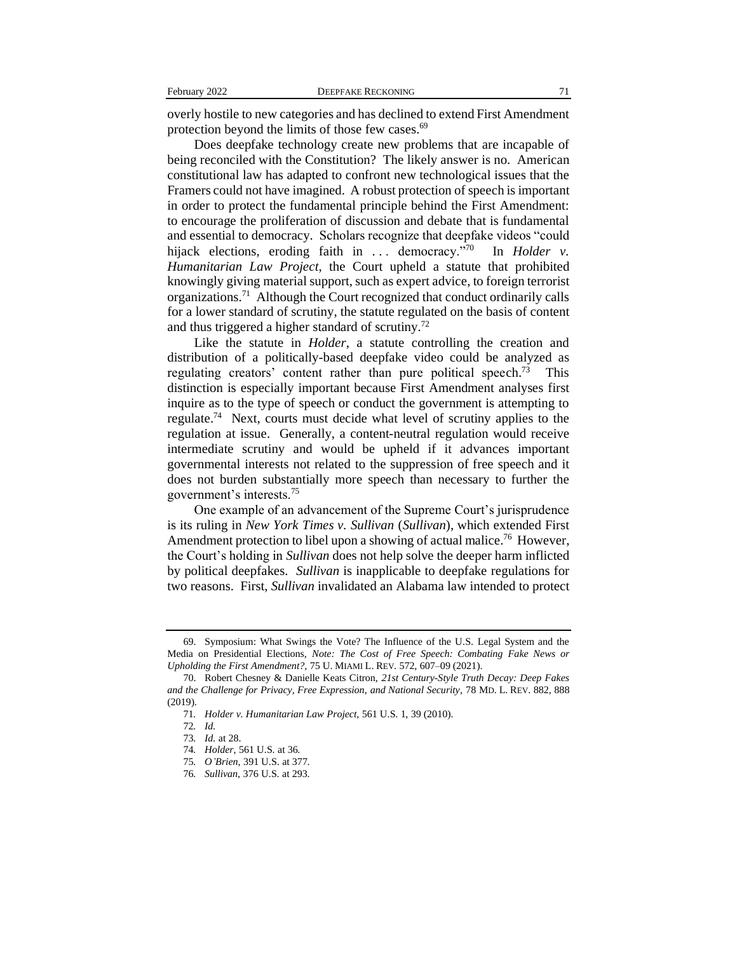overly hostile to new categories and has declined to extend First Amendment protection beyond the limits of those few cases.<sup>69</sup>

Does deepfake technology create new problems that are incapable of being reconciled with the Constitution? The likely answer is no. American constitutional law has adapted to confront new technological issues that the Framers could not have imagined. A robust protection of speech is important in order to protect the fundamental principle behind the First Amendment: to encourage the proliferation of discussion and debate that is fundamental and essential to democracy. Scholars recognize that deepfake videos "could hijack elections, eroding faith in ... democracy."70 In *Holder v. Humanitarian Law Project*, the Court upheld a statute that prohibited knowingly giving material support, such as expert advice, to foreign terrorist organizations.<sup>71</sup> Although the Court recognized that conduct ordinarily calls for a lower standard of scrutiny, the statute regulated on the basis of content and thus triggered a higher standard of scrutiny.<sup>72</sup>

Like the statute in *Holder*, a statute controlling the creation and distribution of a politically-based deepfake video could be analyzed as regulating creators' content rather than pure political speech.<sup>73</sup> This distinction is especially important because First Amendment analyses first inquire as to the type of speech or conduct the government is attempting to regulate.<sup>74</sup> Next, courts must decide what level of scrutiny applies to the regulation at issue. Generally, a content-neutral regulation would receive intermediate scrutiny and would be upheld if it advances important governmental interests not related to the suppression of free speech and it does not burden substantially more speech than necessary to further the government's interests.<sup>75</sup>

One example of an advancement of the Supreme Court's jurisprudence is its ruling in *New York Times v. Sullivan* (*Sullivan*), which extended First Amendment protection to libel upon a showing of actual malice.<sup>76</sup> However, the Court's holding in *Sullivan* does not help solve the deeper harm inflicted by political deepfakes. *Sullivan* is inapplicable to deepfake regulations for two reasons. First, *Sullivan* invalidated an Alabama law intended to protect

<sup>69.</sup> Symposium: What Swings the Vote? The Influence of the U.S. Legal System and the Media on Presidential Elections, *Note: The Cost of Free Speech: Combating Fake News or Upholding the First Amendment?*, 75 U. MIAMI L. REV. 572, 607–09 (2021).

<sup>70.</sup> Robert Chesney & Danielle Keats Citron, *21st Century-Style Truth Decay: Deep Fakes and the Challenge for Privacy, Free Expression, and National Security*, 78 MD. L. REV. 882, 888 (2019).

<sup>71</sup>*. Holder v. Humanitarian Law Project*, 561 U.S. 1, 39 (2010).

<sup>72</sup>*. Id.*

<sup>73</sup>*. Id.* at 28.

<sup>74</sup>*. Holder*, 561 U.S. at 36.

<sup>75</sup>*. O'Brien*, 391 U.S. at 377.

<sup>76</sup>*. Sullivan*, 376 U.S. at 293.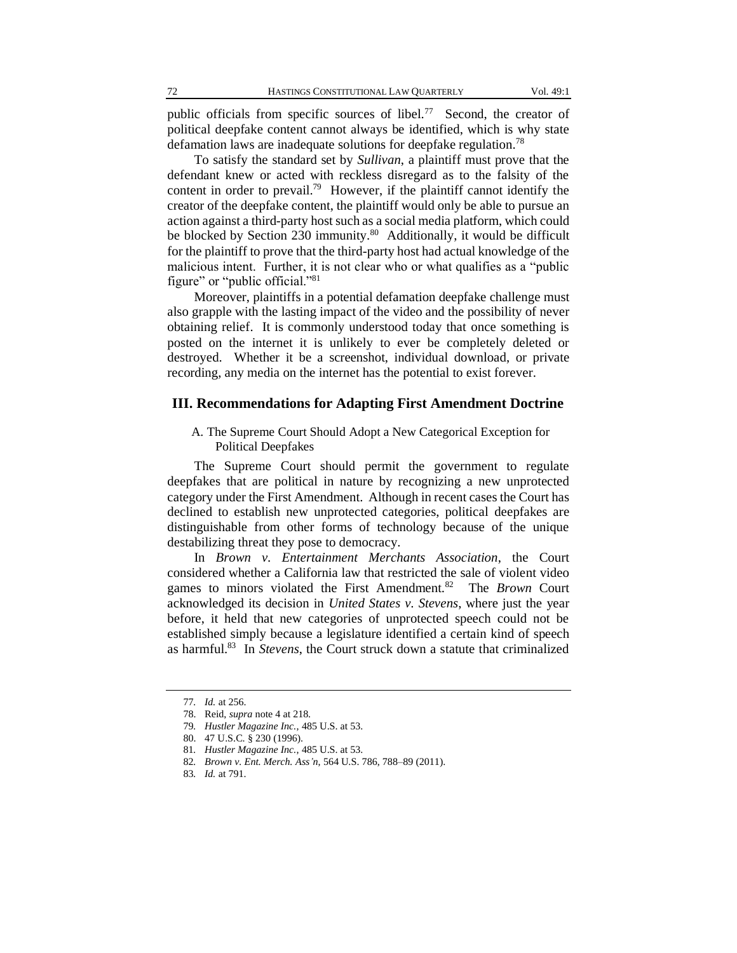public officials from specific sources of libel.<sup>77</sup> Second, the creator of political deepfake content cannot always be identified, which is why state defamation laws are inadequate solutions for deepfake regulation.<sup>78</sup>

To satisfy the standard set by *Sullivan*, a plaintiff must prove that the defendant knew or acted with reckless disregard as to the falsity of the content in order to prevail.<sup>79</sup> However, if the plaintiff cannot identify the creator of the deepfake content, the plaintiff would only be able to pursue an action against a third-party host such as a social media platform, which could be blocked by Section 230 immunity.<sup>80</sup> Additionally, it would be difficult for the plaintiff to prove that the third-party host had actual knowledge of the malicious intent. Further, it is not clear who or what qualifies as a "public figure" or "public official."<sup>81</sup>

Moreover, plaintiffs in a potential defamation deepfake challenge must also grapple with the lasting impact of the video and the possibility of never obtaining relief. It is commonly understood today that once something is posted on the internet it is unlikely to ever be completely deleted or destroyed. Whether it be a screenshot, individual download, or private recording, any media on the internet has the potential to exist forever.

## **III. Recommendations for Adapting First Amendment Doctrine**

## A. The Supreme Court Should Adopt a New Categorical Exception for Political Deepfakes

The Supreme Court should permit the government to regulate deepfakes that are political in nature by recognizing a new unprotected category under the First Amendment. Although in recent cases the Court has declined to establish new unprotected categories, political deepfakes are distinguishable from other forms of technology because of the unique destabilizing threat they pose to democracy.

In *Brown v. Entertainment Merchants Association*, the Court considered whether a California law that restricted the sale of violent video games to minors violated the First Amendment.<sup>82</sup> The *Brown* Court acknowledged its decision in *United States v. Stevens*, where just the year before, it held that new categories of unprotected speech could not be established simply because a legislature identified a certain kind of speech as harmful.<sup>83</sup> In *Stevens*, the Court struck down a statute that criminalized

<sup>77</sup>*. Id.* at 256.

<sup>78.</sup> Reid, *supra* note 4 at 218.

<sup>79</sup>*. Hustler Magazine Inc.*, 485 U.S. at 53.

<sup>80.</sup> 47 U.S.C. § 230 (1996).

<sup>81</sup>*. Hustler Magazine Inc.*, 485 U.S. at 53.

<sup>82</sup>*. Brown v. Ent. Merch. Ass'n*, 564 U.S. 786, 788–89 (2011).

<sup>83</sup>*. Id.* at 791.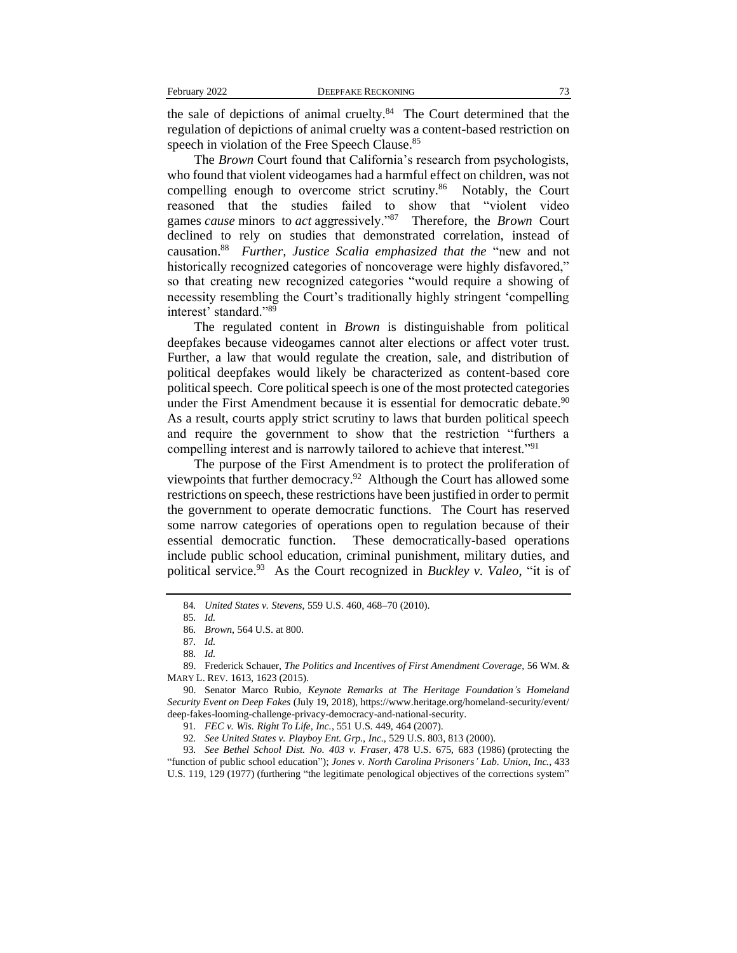the sale of depictions of animal cruelty.<sup>84</sup> The Court determined that the regulation of depictions of animal cruelty was a content-based restriction on speech in violation of the Free Speech Clause.<sup>85</sup>

The *Brown* Court found that California's research from psychologists, who found that violent videogames had a harmful effect on children, was not compelling enough to overcome strict scrutiny.<sup>86</sup> Notably, the Court reasoned that the studies failed to show that "violent video games *cause* minors to *act* aggressively."<sup>87</sup> Therefore, the *Brown* Court declined to rely on studies that demonstrated correlation, instead of causation.<sup>88</sup> *Further, Justice Scalia emphasized that the* "new and not historically recognized categories of noncoverage were highly disfavored," so that creating new recognized categories "would require a showing of necessity resembling the Court's traditionally highly stringent 'compelling interest' standard."89

The regulated content in *Brown* is distinguishable from political deepfakes because videogames cannot alter elections or affect voter trust. Further, a law that would regulate the creation, sale, and distribution of political deepfakes would likely be characterized as content-based core political speech. Core political speech is one of the most protected categories under the First Amendment because it is essential for democratic debate.<sup>90</sup> As a result, courts apply strict scrutiny to laws that burden political speech and require the government to show that the restriction "furthers a compelling interest and is narrowly tailored to achieve that interest."<sup>91</sup>

The purpose of the First Amendment is to protect the proliferation of viewpoints that further democracy.<sup>92</sup> Although the Court has allowed some restrictions on speech, these restrictions have been justified in order to permit the government to operate democratic functions. The Court has reserved some narrow categories of operations open to regulation because of their essential democratic function. These democratically-based operations include public school education, criminal punishment, military duties, and political service.<sup>93</sup> As the Court recognized in *Buckley v. Valeo*, "it is of

93*. See Bethel School Dist. No. 403 v. Fraser*, 478 U.S. 675, 683 (1986) (protecting the "function of public school education"); *Jones v. North Carolina Prisoners' Lab. Union, Inc.*, 433 U.S. 119, 129 (1977) (furthering "the legitimate penological objectives of the corrections system"

<sup>84</sup>*. United States v. Stevens*, 559 U.S. 460, 468–70 (2010).

<sup>85</sup>*. Id.*

<sup>86</sup>*. Brown*, 564 U.S. at 800.

<sup>87</sup>*. Id.*

<sup>88</sup>*. Id.*

<sup>89.</sup> Frederick Schauer, *The Politics and Incentives of First Amendment Coverage*, 56 WM. & MARY L. REV. 1613, 1623 (2015).

<sup>90.</sup> Senator Marco Rubio, *Keynote Remarks at The Heritage Foundation's Homeland Security Event on Deep Fakes* (July 19, 2018), https://www.heritage.org/homeland-security/event/ deep-fakes-looming-challenge-privacy-democracy-and-national-security.

<sup>91</sup>*. FEC v. Wis. Right To Life, Inc.*, 551 U.S. 449, 464 (2007).

<sup>92</sup>*. See United States v. Playboy Ent. Grp., Inc.*, 529 U.S. 803, 813 (2000).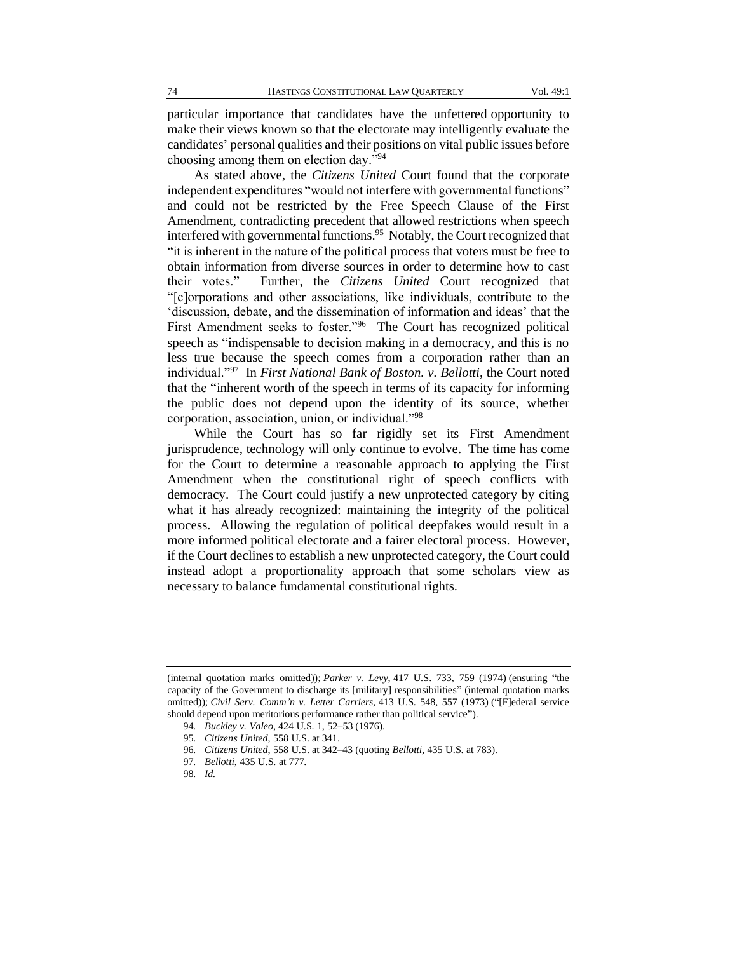particular importance that candidates have the unfettered opportunity to make their views known so that the electorate may intelligently evaluate the candidates' personal qualities and their positions on vital public issues before choosing among them on election day."<sup>94</sup>

As stated above, the *Citizens United* Court found that the corporate independent expenditures "would not interfere with governmental functions" and could not be restricted by the Free Speech Clause of the First Amendment, contradicting precedent that allowed restrictions when speech interfered with governmental functions.<sup>95</sup> Notably, the Court recognized that "it is inherent in the nature of the political process that voters must be free to obtain information from diverse sources in order to determine how to cast their votes." Further, the *Citizens United* Court recognized that "[c]orporations and other associations, like individuals, contribute to the 'discussion, debate, and the dissemination of information and ideas' that the First Amendment seeks to foster."<sup>96</sup> The Court has recognized political speech as "indispensable to decision making in a democracy, and this is no less true because the speech comes from a corporation rather than an individual."<sup>97</sup> In *First National Bank of Boston. v. Bellotti*, the Court noted that the "inherent worth of the speech in terms of its capacity for informing the public does not depend upon the identity of its source, whether corporation, association, union, or individual."<sup>98</sup>

While the Court has so far rigidly set its First Amendment jurisprudence, technology will only continue to evolve. The time has come for the Court to determine a reasonable approach to applying the First Amendment when the constitutional right of speech conflicts with democracy. The Court could justify a new unprotected category by citing what it has already recognized: maintaining the integrity of the political process. Allowing the regulation of political deepfakes would result in a more informed political electorate and a fairer electoral process. However, if the Court declines to establish a new unprotected category, the Court could instead adopt a proportionality approach that some scholars view as necessary to balance fundamental constitutional rights.

<sup>(</sup>internal quotation marks omitted)); *Parker v. Levy*, 417 U.S. 733, 759 (1974) (ensuring "the capacity of the Government to discharge its [military] responsibilities" (internal quotation marks omitted)); *Civil Serv. Comm'n v. Letter Carriers*, 413 U.S. 548, 557 (1973) ("[F]ederal service should depend upon meritorious performance rather than political service").

<sup>94</sup>*. Buckley v. Valeo*, 424 U.S. 1, 52–53 (1976).

<sup>95</sup>*. Citizens United*, 558 U.S. at 341.

<sup>96</sup>*. Citizens United*, 558 U.S. at 342–43 (quoting *Bellotti*, 435 U.S. at 783).

<sup>97</sup>*. Bellotti*, 435 U.S. at 777.

<sup>98</sup>*. Id.*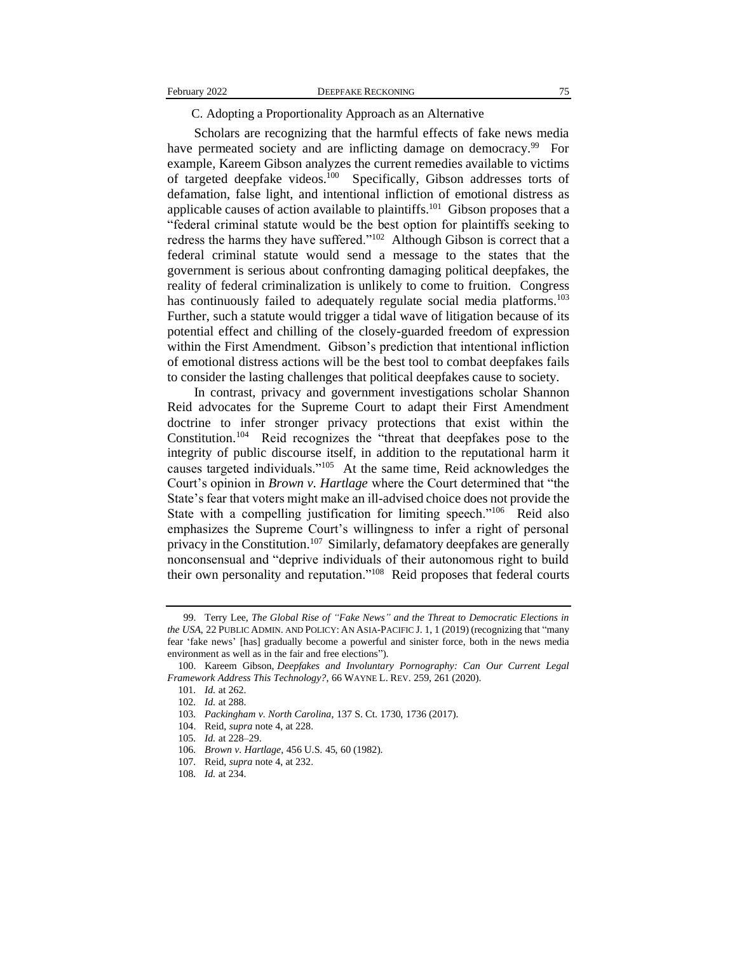#### C. Adopting a Proportionality Approach as an Alternative

Scholars are recognizing that the harmful effects of fake news media have permeated society and are inflicting damage on democracy.<sup>99</sup> For example, Kareem Gibson analyzes the current remedies available to victims of targeted deepfake videos.<sup>100</sup> Specifically, Gibson addresses torts of defamation, false light, and intentional infliction of emotional distress as applicable causes of action available to plaintiffs.<sup>101</sup> Gibson proposes that a "federal criminal statute would be the best option for plaintiffs seeking to redress the harms they have suffered."<sup>102</sup> Although Gibson is correct that a federal criminal statute would send a message to the states that the government is serious about confronting damaging political deepfakes, the reality of federal criminalization is unlikely to come to fruition. Congress has continuously failed to adequately regulate social media platforms.<sup>103</sup> Further, such a statute would trigger a tidal wave of litigation because of its potential effect and chilling of the closely-guarded freedom of expression within the First Amendment. Gibson's prediction that intentional infliction of emotional distress actions will be the best tool to combat deepfakes fails to consider the lasting challenges that political deepfakes cause to society.

In contrast, privacy and government investigations scholar Shannon Reid advocates for the Supreme Court to adapt their First Amendment doctrine to infer stronger privacy protections that exist within the Constitution.<sup>104</sup> Reid recognizes the "threat that deepfakes pose to the integrity of public discourse itself, in addition to the reputational harm it causes targeted individuals."<sup>105</sup> At the same time, Reid acknowledges the Court's opinion in *Brown v. Hartlage* where the Court determined that "the State's fear that voters might make an ill-advised choice does not provide the State with a compelling justification for limiting speech."<sup>106</sup> Reid also emphasizes the Supreme Court's willingness to infer a right of personal privacy in the Constitution.<sup>107</sup> Similarly, defamatory deepfakes are generally nonconsensual and "deprive individuals of their autonomous right to build their own personality and reputation."<sup>108</sup> Reid proposes that federal courts

<sup>99.</sup> Terry Lee, *The Global Rise of "Fake News" and the Threat to Democratic Elections in the USA*, 22 PUBLIC ADMIN. AND POLICY: AN ASIA-PACIFIC J. 1, 1 (2019) (recognizing that "many fear 'fake news' [has] gradually become a powerful and sinister force, both in the news media environment as well as in the fair and free elections").

<sup>100.</sup> Kareem Gibson, *Deepfakes and Involuntary Pornography: Can Our Current Legal Framework Address This Technology?*, 66 WAYNE L. REV. 259, 261 (2020).

<sup>101</sup>*. Id.* at 262.

<sup>102</sup>*. Id.* at 288.

<sup>103</sup>*. Packingham v. North Carolina*, 137 S. Ct. 1730, 1736 (2017).

<sup>104.</sup> Reid, *supra* note 4, at 228.

<sup>105</sup>*. Id.* at 228–29.

<sup>106</sup>*. Brown v. Hartlage*, 456 U.S. 45, 60 (1982).

<sup>107</sup>*.* Reid, *supra* note 4, at 232.

<sup>108</sup>*. Id.* at 234.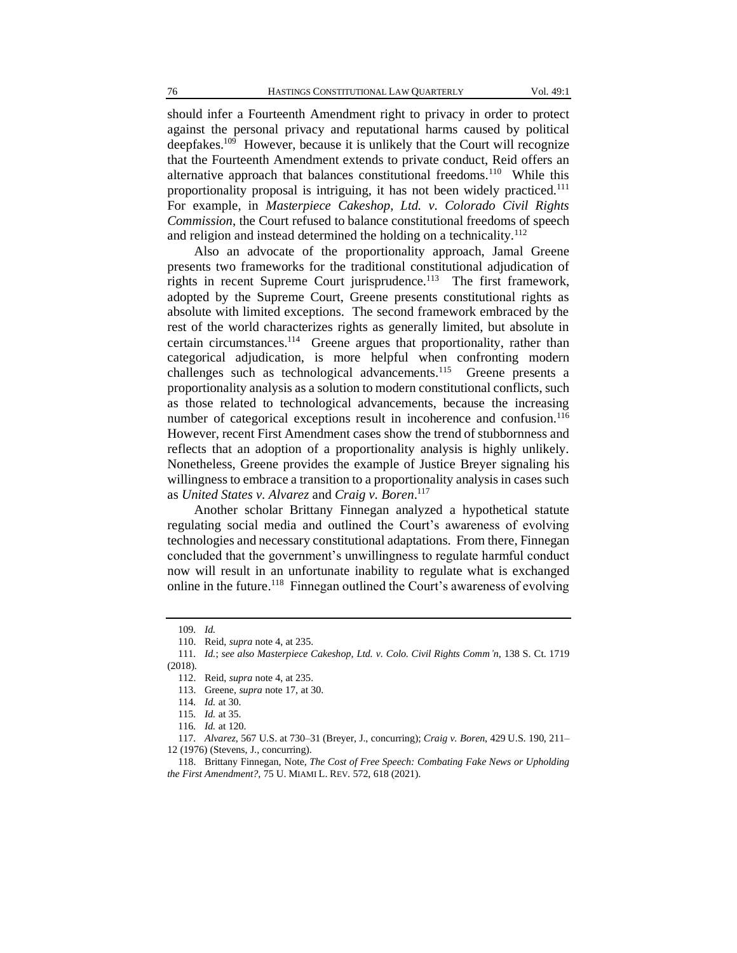should infer a Fourteenth Amendment right to privacy in order to protect against the personal privacy and reputational harms caused by political deepfakes.<sup>109</sup> However, because it is unlikely that the Court will recognize that the Fourteenth Amendment extends to private conduct, Reid offers an alternative approach that balances constitutional freedoms.<sup>110</sup> While this proportionality proposal is intriguing, it has not been widely practiced.<sup>111</sup> For example, in *Masterpiece Cakeshop, Ltd. v. Colorado Civil Rights Commission*, the Court refused to balance constitutional freedoms of speech and religion and instead determined the holding on a technicality.<sup>112</sup>

Also an advocate of the proportionality approach, Jamal Greene presents two frameworks for the traditional constitutional adjudication of rights in recent Supreme Court jurisprudence.<sup>113</sup> The first framework, adopted by the Supreme Court, Greene presents constitutional rights as absolute with limited exceptions. The second framework embraced by the rest of the world characterizes rights as generally limited, but absolute in certain circumstances.<sup>114</sup> Greene argues that proportionality, rather than categorical adjudication, is more helpful when confronting modern challenges such as technological advancements.<sup>115</sup> Greene presents a proportionality analysis as a solution to modern constitutional conflicts, such as those related to technological advancements, because the increasing number of categorical exceptions result in incoherence and confusion.<sup>116</sup> However, recent First Amendment cases show the trend of stubbornness and reflects that an adoption of a proportionality analysis is highly unlikely. Nonetheless, Greene provides the example of Justice Breyer signaling his willingness to embrace a transition to a proportionality analysis in cases such as *United States v. Alvarez* and *Craig v. Boren*. 117

Another scholar Brittany Finnegan analyzed a hypothetical statute regulating social media and outlined the Court's awareness of evolving technologies and necessary constitutional adaptations. From there, Finnegan concluded that the government's unwillingness to regulate harmful conduct now will result in an unfortunate inability to regulate what is exchanged online in the future.<sup>118</sup> Finnegan outlined the Court's awareness of evolving

<sup>109</sup>*. Id.*

<sup>110.</sup> Reid, *supra* note 4, at 235.

<sup>111</sup>*. Id.*; *see also Masterpiece Cakeshop, Ltd. v. Colo. Civil Rights Comm'n*, 138 S. Ct. 1719 (2018).

<sup>112.</sup> Reid, *supra* note 4, at 235.

<sup>113.</sup> Greene, *supra* note 17, at 30.

<sup>114</sup>*. Id.* at 30.

<sup>115</sup>*. Id.* at 35.

<sup>116</sup>*. Id.* at 120.

<sup>117</sup>*. Alvarez*, 567 U.S. at 730–31 (Breyer, J., concurring); *Craig v. Boren*, 429 U.S. 190, 211– 12 (1976) (Stevens, J., concurring).

<sup>118.</sup> Brittany Finnegan, Note, *The Cost of Free Speech: Combating Fake News or Upholding the First Amendment?*, 75 U. MIAMI L. REV. 572, 618 (2021).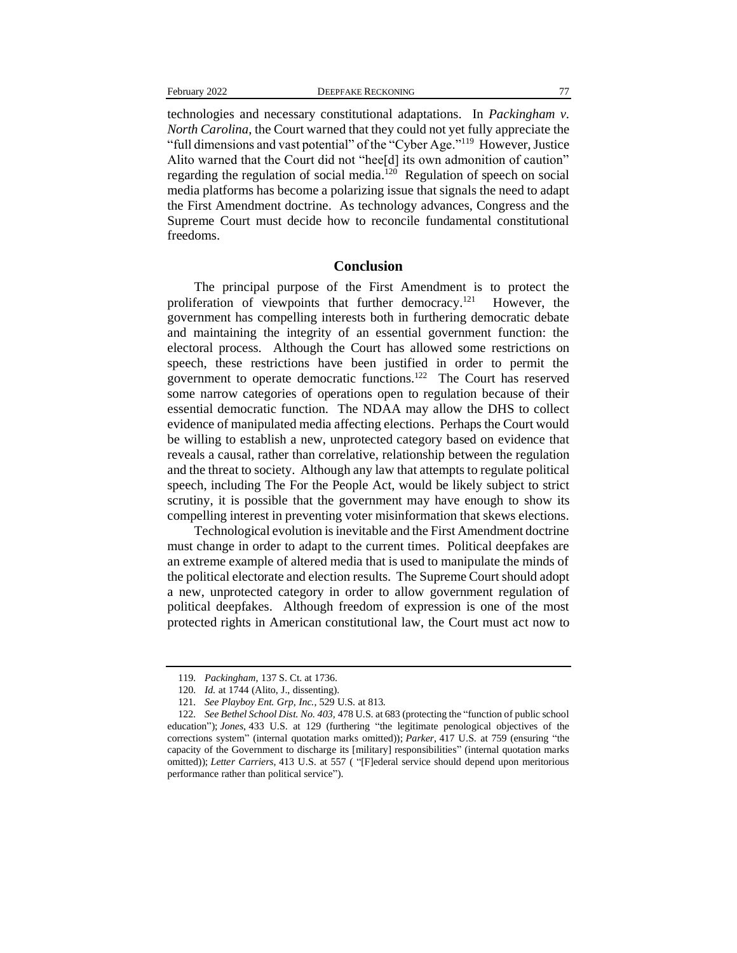technologies and necessary constitutional adaptations. In *Packingham v. North Carolina*, the Court warned that they could not yet fully appreciate the "full dimensions and vast potential" of the "Cyber Age."<sup>119</sup> However, Justice Alito warned that the Court did not "hee[d] its own admonition of caution" regarding the regulation of social media.<sup>120</sup> Regulation of speech on social media platforms has become a polarizing issue that signals the need to adapt the First Amendment doctrine. As technology advances, Congress and the Supreme Court must decide how to reconcile fundamental constitutional freedoms.

#### **Conclusion**

The principal purpose of the First Amendment is to protect the proliferation of viewpoints that further democracy.<sup>121</sup> However, the government has compelling interests both in furthering democratic debate and maintaining the integrity of an essential government function: the electoral process. Although the Court has allowed some restrictions on speech, these restrictions have been justified in order to permit the government to operate democratic functions.<sup>122</sup> The Court has reserved some narrow categories of operations open to regulation because of their essential democratic function. The NDAA may allow the DHS to collect evidence of manipulated media affecting elections. Perhaps the Court would be willing to establish a new, unprotected category based on evidence that reveals a causal, rather than correlative, relationship between the regulation and the threat to society. Although any law that attempts to regulate political speech, including The For the People Act, would be likely subject to strict scrutiny, it is possible that the government may have enough to show its compelling interest in preventing voter misinformation that skews elections.

Technological evolution is inevitable and the First Amendment doctrine must change in order to adapt to the current times. Political deepfakes are an extreme example of altered media that is used to manipulate the minds of the political electorate and election results. The Supreme Court should adopt a new, unprotected category in order to allow government regulation of political deepfakes. Although freedom of expression is one of the most protected rights in American constitutional law, the Court must act now to

<sup>119</sup>*. Packingham*, 137 S. Ct. at 1736.

<sup>120</sup>*. Id.* at 1744 (Alito, J., dissenting).

<sup>121</sup>*. See Playboy Ent. Grp, Inc.*, 529 U.S. at 813.

<sup>122</sup>*. See Bethel School Dist. No. 403,* 478 U.S. at 683 (protecting the "function of public school education"); *Jones*, 433 U.S. at 129 (furthering "the legitimate penological objectives of the corrections system" (internal quotation marks omitted)); *Parker*, 417 U.S. at 759 (ensuring "the capacity of the Government to discharge its [military] responsibilities" (internal quotation marks omitted)); *Letter Carriers*, 413 U.S. at 557 ("[F]ederal service should depend upon meritorious performance rather than political service").